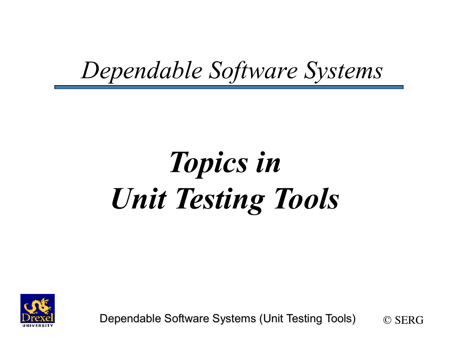### *Dependable Software Systems*

# *Topics in Unit Testing Tools*



Dependable Software Systems (Unit Testing Tools) © SERG

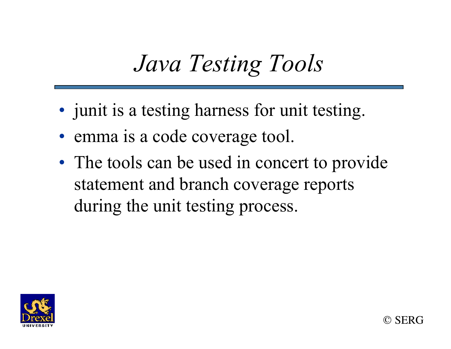### *Java Testing Tools*

- junit is a testing harness for unit testing.
- emma is a code coverage tool.
- The tools can be used in concert to provide statement and branch coverage reports during the unit testing process.

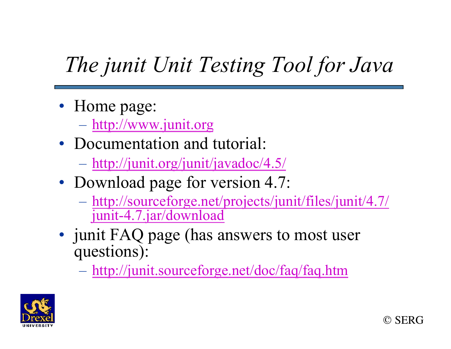### *The junit Unit Testing Tool for Java*

- Home page:
	- http://www.junit.org
- Documentation and tutorial:
	- http://junit.org/junit/javadoc/4.5/
- Download page for version 4.7:
	- http://sourceforge.net/projects/junit/files/junit/4.7/ junit-4.7.jar/download
- junit FAQ page (has answers to most user questions):
	- http://junit.sourceforge.net/doc/faq/faq.htm



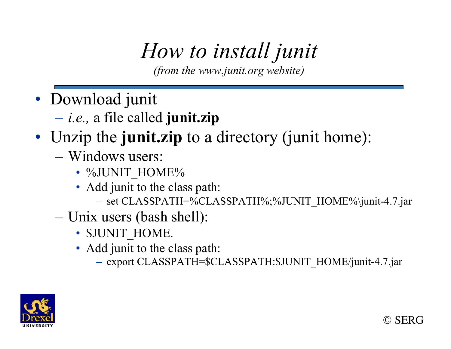### *How to install junit*

*(from the www.junit.org website)* 

- Download junit
	- *i.e.,* a file called **junit.zip**

#### • Unzip the **junit.zip** to a directory (junit home):

- Windows users:
	- %JUNIT\_HOME%
	- Add junit to the class path:
		- set CLASSPATH=%CLASSPATH%;%JUNIT\_HOME%\junit-4.7.jar
- Unix users (bash shell):
	- SJUNIT HOME.
	- Add junit to the class path:
		- export CLASSPATH=\$CLASSPATH:\$JUNIT\_HOME/junit-4.7.jar



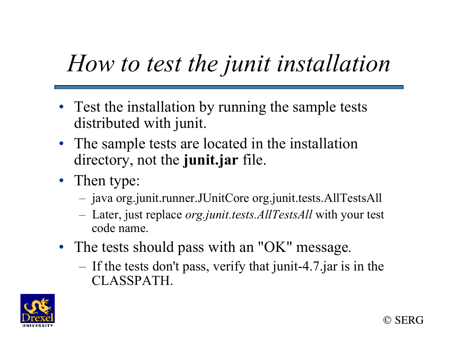### *How to test the junit installation*

- Test the installation by running the sample tests distributed with junit.
- The sample tests are located in the installation directory, not the **junit.jar** file.
- Then type:
	- java org.junit.runner.JUnitCore org.junit.tests.AllTestsAll
	- Later, just replace *org.junit.tests.AllTestsAll* with your test code name.
- The tests should pass with an "OK" message*.* 
	- If the tests don't pass, verify that junit-4.7.jar is in the CLASSPATH.



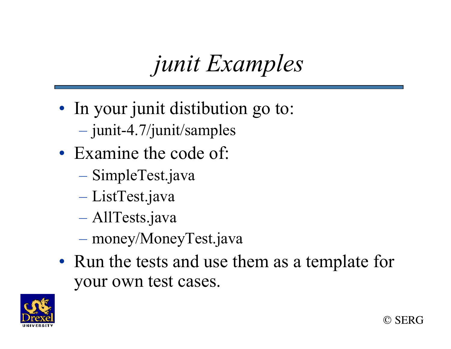### *junit Examples*

- In your junit distibution go to:
	- junit-4.7/junit/samples
- Examine the code of:
	- SimpleTest.java
	- ListTest.java
	- AllTests.java
	- money/MoneyTest.java
- Run the tests and use them as a template for your own test cases.



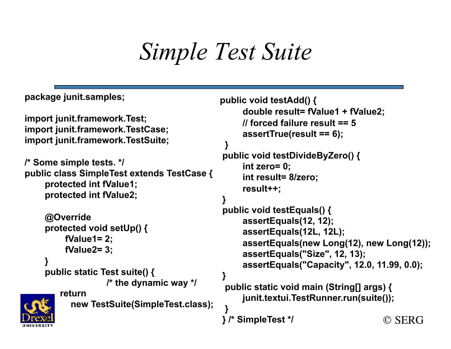### *Simple Test Suite*

```
© SERG
package junit.samples; 
import junit.framework.Test; 
import junit.framework.TestCase; 
import junit.framework.TestSuite; 
/* Some simple tests. */ 
public class SimpleTest extends TestCase { 
      protected int fValue1; 
      protected int fValue2; 
      @Override 
      protected void setUp() { 
           fValue1= 2; 
           fValue2= 3; 
 } 
      public static Test suite() { 
                     /* the dynamic way */ 
         return 
           new TestSuite(SimpleTest.class); 
 } 
Drexe
                                                  public void testAdd() { 
                                                       double result= fValue1 + fValue2; 
                                                       // forced failure result == 5 
                                                       assertTrue(result == 6); 
                                             } 
                                                  public void testDivideByZero() { 
                                                       int zero= 0; 
                                                       int result= 8/zero; 
                                                       result++; 
                                             } 
                                                  public void testEquals() { 
                                                       assertEquals(12, 12); 
                                                       assertEquals(12L, 12L); 
                                                       assertEquals(new Long(12), new Long(12)); 
                                                       assertEquals("Size", 12, 13); 
                                                       assertEquals("Capacity", 12.0, 11.99, 0.0); 
                                             } 
                                                   public static void main (String[] args) { 
                                                       junit.textui.TestRunner.run(suite()); 
                                                  } /* SimpleTest */
```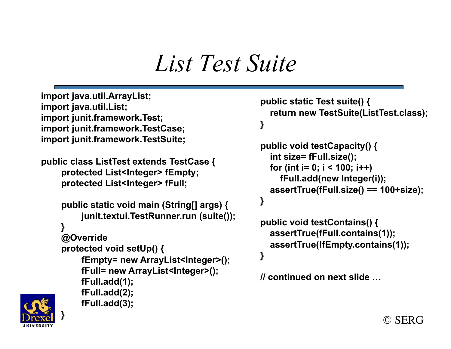#### *List Test Suite*

```
import java.util.ArrayList; 
import java.util.List; 
import junit.framework.Test; 
import junit.framework.TestCase; 
import junit.framework.TestSuite;
```
 **fFull.add(1); fFull.add(2); fFull.add(3);** 

```
public class ListTest extends TestCase { 
     protected List<Integer> fEmpty; 
     protected List<Integer> fFull;
```

```
 public static void main (String[] args) { 
 } 
         junit.textui.TestRunner.run (suite()); 
 } 
     @Override 
     protected void setUp() { 
 fEmpty= new ArrayList<Integer>(); 
         fFull= new ArrayList<Integer>(); 
                                        }
```
 **} public void testCapacity() {** 

 **public static Test suite() {** 

```
 int size= fFull.size(); 
 for (int i= 0; i < 100; i++) 
   fFull.add(new Integer(i)); 
 assertTrue(fFull.size() == 100+size);
```
 **return new TestSuite(ListTest.class);** 

```
public void testContains() { 
   assertTrue(fFull.contains(1)); 
   assertTrue(!fEmpty.contains(1));
```
**// continued on next slide …** 



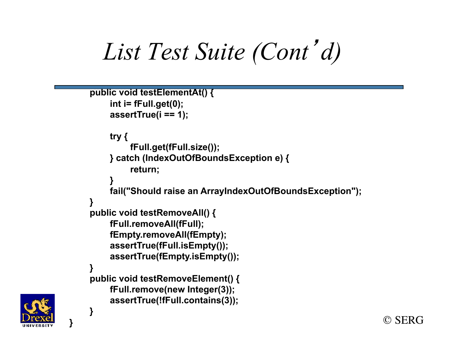*List Test Suite (Cont*<sup>&#</sup>x27;*d)* 

```
 public void testElementAt() { 
          int i= fFull.get(0); 
          assertTrue(i == 1); 
          try { 
               fFull.get(fFull.size()); 
          } catch (IndexOutOfBoundsException e) { 
               return; 
 } 
          fail("Should raise an ArrayIndexOutOfBoundsException"); 
 } 
     public void testRemoveAll() { 
          fFull.removeAll(fFull); 
          fEmpty.removeAll(fEmpty); 
          assertTrue(fFull.isEmpty()); 
          assertTrue(fEmpty.isEmpty()); 
 } 
     public void testRemoveElement() { 
          fFull.remove(new Integer(3)); 
          assertTrue(!fFull.contains(3)); 
 }
```


**}** 

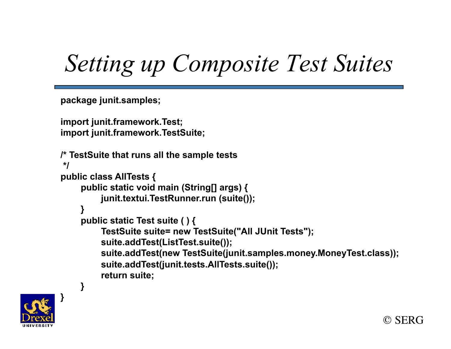### *Setting up Composite Test Suites*

**package junit.samples;** 

```
import junit.framework.Test; 
import junit.framework.TestSuite;
```

```
/* TestSuite that runs all the sample tests 
 */ 
public class AllTests { 
      public static void main (String[] args) { 
           junit.textui.TestRunner.run (suite()); 
 } 
      public static Test suite ( ) { 
           TestSuite suite= new TestSuite("All JUnit Tests"); 
           suite.addTest(ListTest.suite()); 
           suite.addTest(new TestSuite(junit.samples.money.MoneyTest.class)); 
           suite.addTest(junit.tests.AllTests.suite()); 
           return suite;
```


 **}**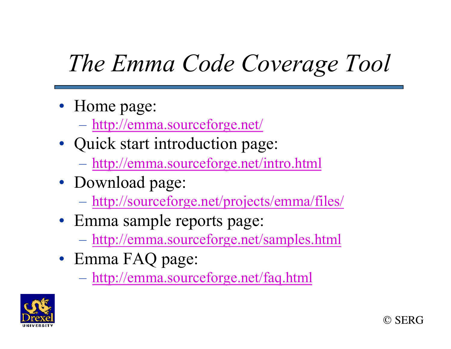## *The Emma Code Coverage Tool*

- Home page:
	- http://emma.sourceforge.net/
- Quick start introduction page:
	- http://emma.sourceforge.net/intro.html
- Download page:
	- http://sourceforge.net/projects/emma/files/
- Emma sample reports page:
	- http://emma.sourceforge.net/samples.html
- Emma FAQ page:
	- http://emma.sourceforge.net/faq.html



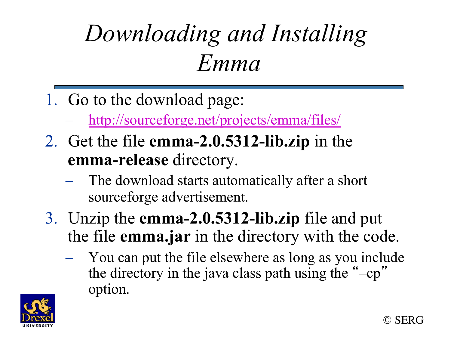## *Downloading and Installing Emma*

- 1. Go to the download page:
	- http://sourceforge.net/projects/emma/files/
- 2. Get the file **emma-2.0.5312-lib.zip** in the **emma-release** directory.
	- The download starts automatically after a short sourceforge advertisement.
- 3. Unzip the **emma-2.0.5312-lib.zip** file and put the file **emma.jar** in the directory with the code.
	- You can put the file elsewhere as long as you include the directory in the java class path using the " –cp " option.



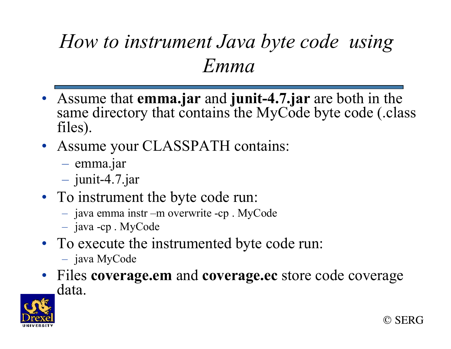#### *How to instrument Java byte code using Emma*

- Assume that **emma.jar** and **junit-4.7.jar** are both in the same directory that contains the MyCode byte code (.class files).
- Assume your CLASSPATH contains:
	- emma.jar
	- junit-4.7.jar
- To instrument the byte code run:
	- java emma instr –m overwrite -cp . MyCode
	- java -cp . MyCode
- To execute the instrumented byte code run:
	- java MyCode
- Files **coverage.em** and **coverage.ec** store code coverage data.

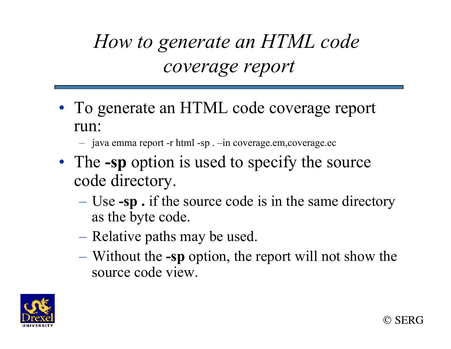#### *How to generate an HTML code coverage report*

- To generate an HTML code coverage report run:
	- java emma report -r html -sp . –in coverage.em,coverage.ec
- The **-sp** option is used to specify the source code directory.
	- Use **-sp .** if the source code is in the same directory as the byte code.
	- Relative paths may be used.
	- Without the **-sp** option, the report will not show the source code view.



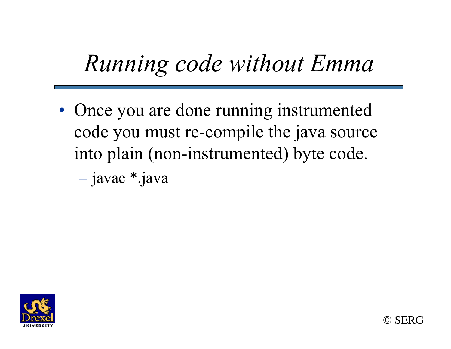### *Running code without Emma*

• Once you are done running instrumented code you must re-compile the java source into plain (non-instrumented) byte code.

– javac \*.java